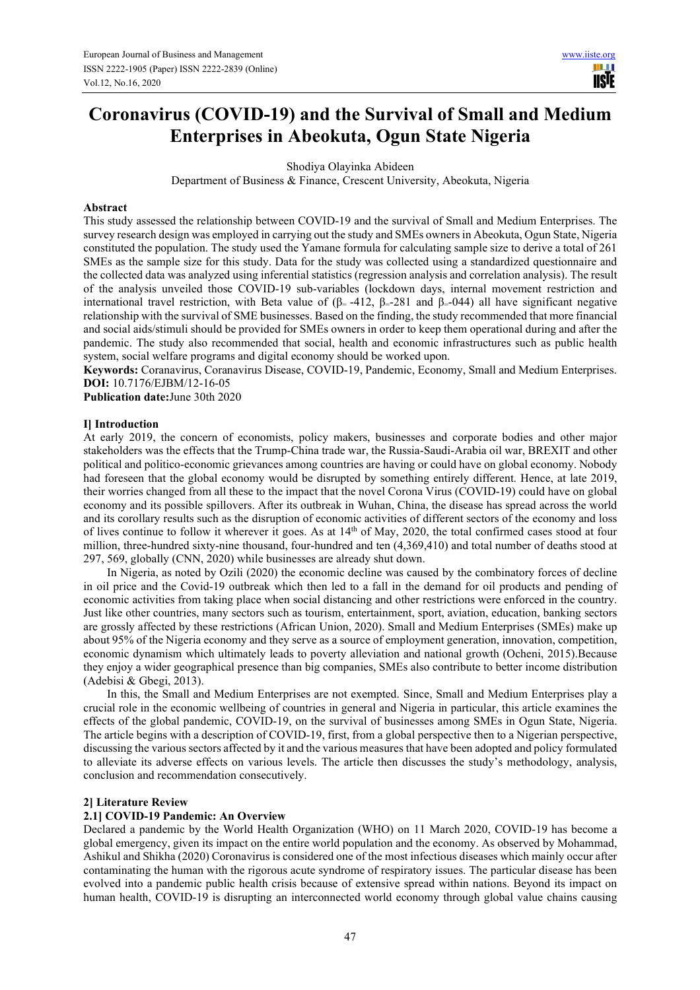ш **IISIE** 

# **Coronavirus (COVID-19) and the Survival of Small and Medium Enterprises in Abeokuta, Ogun State Nigeria**

Shodiya Olayinka Abideen

Department of Business & Finance, Crescent University, Abeokuta, Nigeria

#### **Abstract**

This study assessed the relationship between COVID-19 and the survival of Small and Medium Enterprises. The survey research design was employed in carrying out the study and SMEs owners in Abeokuta, Ogun State, Nigeria constituted the population. The study used the Yamane formula for calculating sample size to derive a total of 261 SMEs as the sample size for this study. Data for the study was collected using a standardized questionnaire and the collected data was analyzed using inferential statistics (regression analysis and correlation analysis). The result of the analysis unveiled those COVID-19 sub-variables (lockdown days, internal movement restriction and international travel restriction, with Beta value of  $(β = -412, β = -281$  and  $β = -044)$  all have significant negative relationship with the survival of SME businesses. Based on the finding, the study recommended that more financial and social aids/stimuli should be provided for SMEs owners in order to keep them operational during and after the pandemic. The study also recommended that social, health and economic infrastructures such as public health system, social welfare programs and digital economy should be worked upon.

**Keywords:** Coranavirus, Coranavirus Disease, COVID-19, Pandemic, Economy, Small and Medium Enterprises. **DOI:** 10.7176/EJBM/12-16-05

**Publication date:**June 30th 2020

#### **I] Introduction**

At early 2019, the concern of economists, policy makers, businesses and corporate bodies and other major stakeholders was the effects that the Trump-China trade war, the Russia-Saudi-Arabia oil war, BREXIT and other political and politico-economic grievances among countries are having or could have on global economy. Nobody had foreseen that the global economy would be disrupted by something entirely different. Hence, at late 2019, their worries changed from all these to the impact that the novel Corona Virus (COVID-19) could have on global economy and its possible spillovers. After its outbreak in Wuhan, China, the disease has spread across the world and its corollary results such as the disruption of economic activities of different sectors of the economy and loss of lives continue to follow it wherever it goes. As at 14<sup>th</sup> of May, 2020, the total confirmed cases stood at four million, three-hundred sixty-nine thousand, four-hundred and ten (4,369,410) and total number of deaths stood at 297, 569, globally (CNN, 2020) while businesses are already shut down.

In Nigeria, as noted by Ozili (2020) the economic decline was caused by the combinatory forces of decline in oil price and the Covid-19 outbreak which then led to a fall in the demand for oil products and pending of economic activities from taking place when social distancing and other restrictions were enforced in the country. Just like other countries, many sectors such as tourism, entertainment, sport, aviation, education, banking sectors are grossly affected by these restrictions (African Union, 2020). Small and Medium Enterprises (SMEs) make up about 95% of the Nigeria economy and they serve as a source of employment generation, innovation, competition, economic dynamism which ultimately leads to poverty alleviation and national growth (Ocheni, 2015).Because they enjoy a wider geographical presence than big companies, SMEs also contribute to better income distribution (Adebisi & Gbegi, 2013).

In this, the Small and Medium Enterprises are not exempted. Since, Small and Medium Enterprises play a crucial role in the economic wellbeing of countries in general and Nigeria in particular, this article examines the effects of the global pandemic, COVID-19, on the survival of businesses among SMEs in Ogun State, Nigeria. The article begins with a description of COVID-19, first, from a global perspective then to a Nigerian perspective, discussing the various sectors affected by it and the various measures that have been adopted and policy formulated to alleviate its adverse effects on various levels. The article then discusses the study's methodology, analysis, conclusion and recommendation consecutively.

# **2] Literature Review**

### **2.1] COVID-19 Pandemic: An Overview**

Declared a pandemic by the World Health Organization (WHO) on 11 March 2020, COVID-19 has become a global emergency, given its impact on the entire world population and the economy. As observed by Mohammad, Ashikul and Shikha (2020) Coronavirus is considered one of the most infectious diseases which mainly occur after contaminating the human with the rigorous acute syndrome of respiratory issues. The particular disease has been evolved into a pandemic public health crisis because of extensive spread within nations. Beyond its impact on human health, COVID-19 is disrupting an interconnected world economy through global value chains causing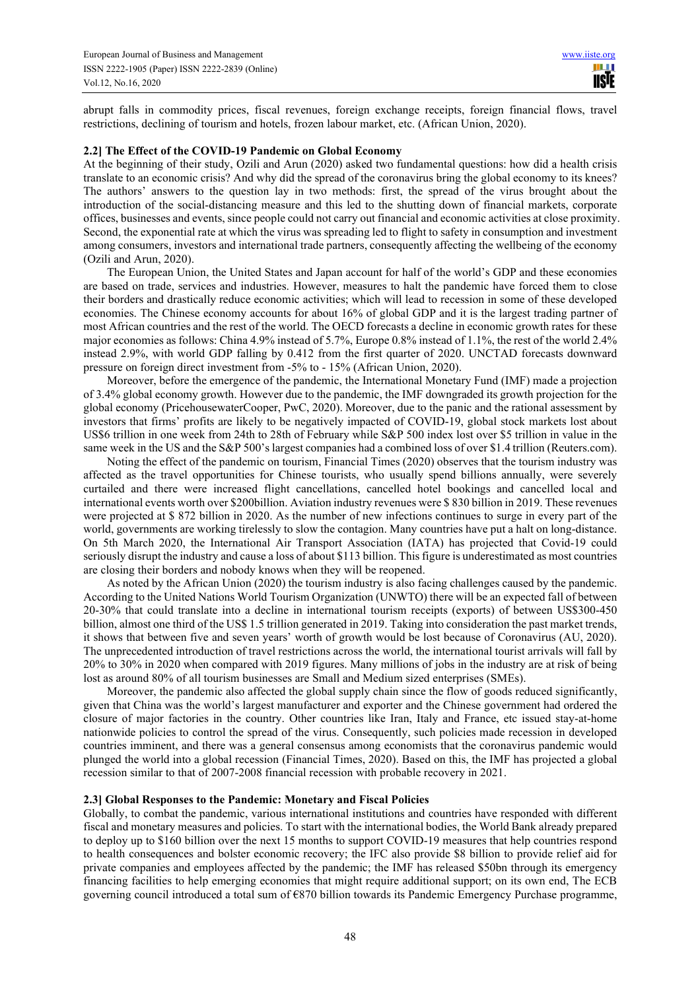abrupt falls in commodity prices, fiscal revenues, foreign exchange receipts, foreign financial flows, travel restrictions, declining of tourism and hotels, frozen labour market, etc. (African Union, 2020).

#### **2.2] The Effect of the COVID-19 Pandemic on Global Economy**

At the beginning of their study, Ozili and Arun (2020) asked two fundamental questions: how did a health crisis translate to an economic crisis? And why did the spread of the coronavirus bring the global economy to its knees? The authors' answers to the question lay in two methods: first, the spread of the virus brought about the introduction of the social-distancing measure and this led to the shutting down of financial markets, corporate offices, businesses and events, since people could not carry out financial and economic activities at close proximity. Second, the exponential rate at which the virus was spreading led to flight to safety in consumption and investment among consumers, investors and international trade partners, consequently affecting the wellbeing of the economy (Ozili and Arun, 2020).

The European Union, the United States and Japan account for half of the world's GDP and these economies are based on trade, services and industries. However, measures to halt the pandemic have forced them to close their borders and drastically reduce economic activities; which will lead to recession in some of these developed economies. The Chinese economy accounts for about 16% of global GDP and it is the largest trading partner of most African countries and the rest of the world. The OECD forecasts a decline in economic growth rates for these major economies as follows: China 4.9% instead of 5.7%, Europe 0.8% instead of 1.1%, the rest of the world 2.4% instead 2.9%, with world GDP falling by 0.412 from the first quarter of 2020. UNCTAD forecasts downward pressure on foreign direct investment from -5% to - 15% (African Union, 2020).

Moreover, before the emergence of the pandemic, the International Monetary Fund (IMF) made a projection of 3.4% global economy growth. However due to the pandemic, the IMF downgraded its growth projection for the global economy (PricehousewaterCooper, PwC, 2020). Moreover, due to the panic and the rational assessment by investors that firms' profits are likely to be negatively impacted of COVID-19, global stock markets lost about US\$6 trillion in one week from 24th to 28th of February while S&P 500 index lost over \$5 trillion in value in the same week in the US and the S&P 500's largest companies had a combined loss of over \$1.4 trillion (Reuters.com).

Noting the effect of the pandemic on tourism, Financial Times (2020) observes that the tourism industry was affected as the travel opportunities for Chinese tourists, who usually spend billions annually, were severely curtailed and there were increased flight cancellations, cancelled hotel bookings and cancelled local and international events worth over \$200billion. Aviation industry revenues were \$ 830 billion in 2019. These revenues were projected at \$ 872 billion in 2020. As the number of new infections continues to surge in every part of the world, governments are working tirelessly to slow the contagion. Many countries have put a halt on long-distance. On 5th March 2020, the International Air Transport Association (IATA) has projected that Covid-19 could seriously disrupt the industry and cause a loss of about \$113 billion. This figure is underestimated as most countries are closing their borders and nobody knows when they will be reopened.

As noted by the African Union (2020) the tourism industry is also facing challenges caused by the pandemic. According to the United Nations World Tourism Organization (UNWTO) there will be an expected fall of between 20-30% that could translate into a decline in international tourism receipts (exports) of between US\$300-450 billion, almost one third of the US\$ 1.5 trillion generated in 2019. Taking into consideration the past market trends, it shows that between five and seven years' worth of growth would be lost because of Coronavirus (AU, 2020). The unprecedented introduction of travel restrictions across the world, the international tourist arrivals will fall by 20% to 30% in 2020 when compared with 2019 figures. Many millions of jobs in the industry are at risk of being lost as around 80% of all tourism businesses are Small and Medium sized enterprises (SMEs).

Moreover, the pandemic also affected the global supply chain since the flow of goods reduced significantly, given that China was the world's largest manufacturer and exporter and the Chinese government had ordered the closure of major factories in the country. Other countries like Iran, Italy and France, etc issued stay-at-home nationwide policies to control the spread of the virus. Consequently, such policies made recession in developed countries imminent, and there was a general consensus among economists that the coronavirus pandemic would plunged the world into a global recession (Financial Times, 2020). Based on this, the IMF has projected a global recession similar to that of 2007-2008 financial recession with probable recovery in 2021.

# **2.3] Global Responses to the Pandemic: Monetary and Fiscal Policies**

Globally, to combat the pandemic, various international institutions and countries have responded with different fiscal and monetary measures and policies. To start with the international bodies, the World Bank already prepared to deploy up to \$160 billion over the next 15 months to support COVID-19 measures that help countries respond to health consequences and bolster economic recovery; the IFC also provide \$8 billion to provide relief aid for private companies and employees affected by the pandemic; the IMF has released \$50bn through its emergency financing facilities to help emerging economies that might require additional support; on its own end, The ECB governing council introduced a total sum of €870 billion towards its Pandemic Emergency Purchase programme,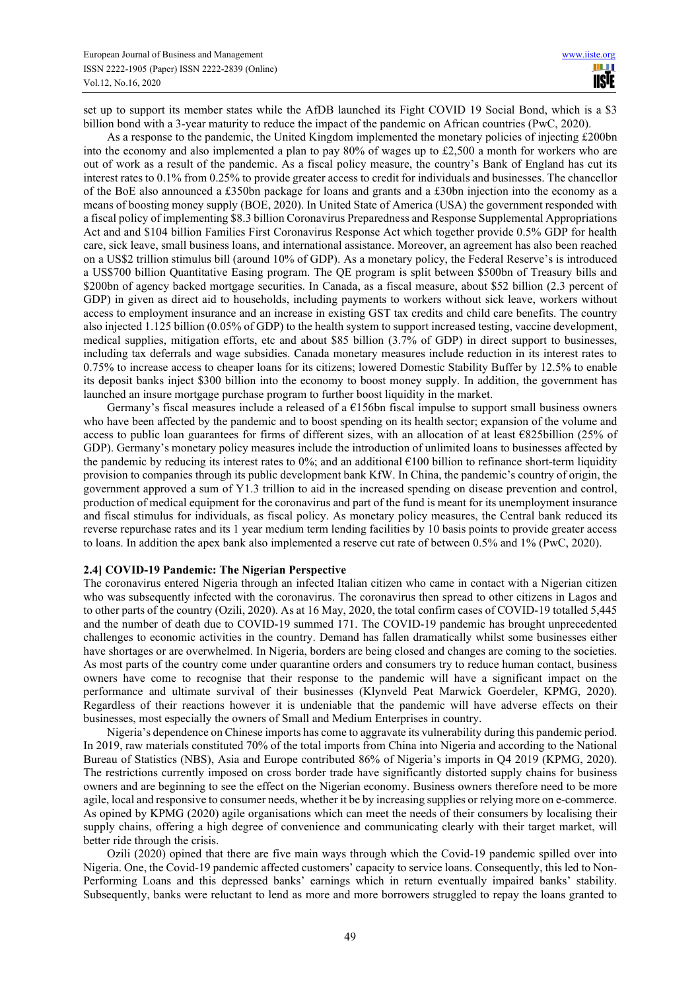set up to support its member states while the AfDB launched its Fight COVID 19 Social Bond, which is a \$3 billion bond with a 3-year maturity to reduce the impact of the pandemic on African countries (PwC, 2020).

As a response to the pandemic, the United Kingdom implemented the monetary policies of injecting £200bn into the economy and also implemented a plan to pay 80% of wages up to £2,500 a month for workers who are out of work as a result of the pandemic. As a fiscal policy measure, the country's Bank of England has cut its interest rates to 0.1% from 0.25% to provide greater access to credit for individuals and businesses. The chancellor of the BoE also announced a £350bn package for loans and grants and a £30bn injection into the economy as a means of boosting money supply (BOE, 2020). In United State of America (USA) the government responded with a fiscal policy of implementing \$8.3 billion Coronavirus Preparedness and Response Supplemental Appropriations Act and and \$104 billion Families First Coronavirus Response Act which together provide 0.5% GDP for health care, sick leave, small business loans, and international assistance. Moreover, an agreement has also been reached on a US\$2 trillion stimulus bill (around 10% of GDP). As a monetary policy, the Federal Reserve's is introduced a US\$700 billion Quantitative Easing program. The QE program is split between \$500bn of Treasury bills and \$200bn of agency backed mortgage securities. In Canada, as a fiscal measure, about \$52 billion (2.3 percent of GDP) in given as direct aid to households, including payments to workers without sick leave, workers without access to employment insurance and an increase in existing GST tax credits and child care benefits. The country also injected 1.125 billion (0.05% of GDP) to the health system to support increased testing, vaccine development, medical supplies, mitigation efforts, etc and about \$85 billion (3.7% of GDP) in direct support to businesses, including tax deferrals and wage subsidies. Canada monetary measures include reduction in its interest rates to 0.75% to increase access to cheaper loans for its citizens; lowered Domestic Stability Buffer by 12.5% to enable its deposit banks inject \$300 billion into the economy to boost money supply. In addition, the government has launched an insure mortgage purchase program to further boost liquidity in the market.

Germany's fiscal measures include a released of a  $E156$ bn fiscal impulse to support small business owners who have been affected by the pandemic and to boost spending on its health sector; expansion of the volume and access to public loan guarantees for firms of different sizes, with an allocation of at least €825billion (25% of GDP). Germany's monetary policy measures include the introduction of unlimited loans to businesses affected by the pandemic by reducing its interest rates to 0%; and an additional  $\epsilon$ 100 billion to refinance short-term liquidity provision to companies through its public development bank KfW. In China, the pandemic's country of origin, the government approved a sum of Y1.3 trillion to aid in the increased spending on disease prevention and control, production of medical equipment for the coronavirus and part of the fund is meant for its unemployment insurance and fiscal stimulus for individuals, as fiscal policy. As monetary policy measures, the Central bank reduced its reverse repurchase rates and its 1 year medium term lending facilities by 10 basis points to provide greater access to loans. In addition the apex bank also implemented a reserve cut rate of between 0.5% and 1% (PwC, 2020).

#### **2.4] COVID-19 Pandemic: The Nigerian Perspective**

The coronavirus entered Nigeria through an infected Italian citizen who came in contact with a Nigerian citizen who was subsequently infected with the coronavirus. The coronavirus then spread to other citizens in Lagos and to other parts of the country (Ozili, 2020). As at 16 May, 2020, the total confirm cases of COVID-19 totalled 5,445 and the number of death due to COVID-19 summed 171. The COVID-19 pandemic has brought unprecedented challenges to economic activities in the country. Demand has fallen dramatically whilst some businesses either have shortages or are overwhelmed. In Nigeria, borders are being closed and changes are coming to the societies. As most parts of the country come under quarantine orders and consumers try to reduce human contact, business owners have come to recognise that their response to the pandemic will have a significant impact on the performance and ultimate survival of their businesses (Klynveld Peat Marwick Goerdeler, KPMG, 2020). Regardless of their reactions however it is undeniable that the pandemic will have adverse effects on their businesses, most especially the owners of Small and Medium Enterprises in country.

Nigeria's dependence on Chinese imports has come to aggravate its vulnerability during this pandemic period. In 2019, raw materials constituted 70% of the total imports from China into Nigeria and according to the National Bureau of Statistics (NBS), Asia and Europe contributed 86% of Nigeria's imports in Q4 2019 (KPMG, 2020). The restrictions currently imposed on cross border trade have significantly distorted supply chains for business owners and are beginning to see the effect on the Nigerian economy. Business owners therefore need to be more agile, local and responsive to consumer needs, whether it be by increasing supplies or relying more on e-commerce. As opined by KPMG (2020) agile organisations which can meet the needs of their consumers by localising their supply chains, offering a high degree of convenience and communicating clearly with their target market, will better ride through the crisis.

Ozili (2020) opined that there are five main ways through which the Covid-19 pandemic spilled over into Nigeria. One, the Covid-19 pandemic affected customers' capacity to service loans. Consequently, this led to Non-Performing Loans and this depressed banks' earnings which in return eventually impaired banks' stability. Subsequently, banks were reluctant to lend as more and more borrowers struggled to repay the loans granted to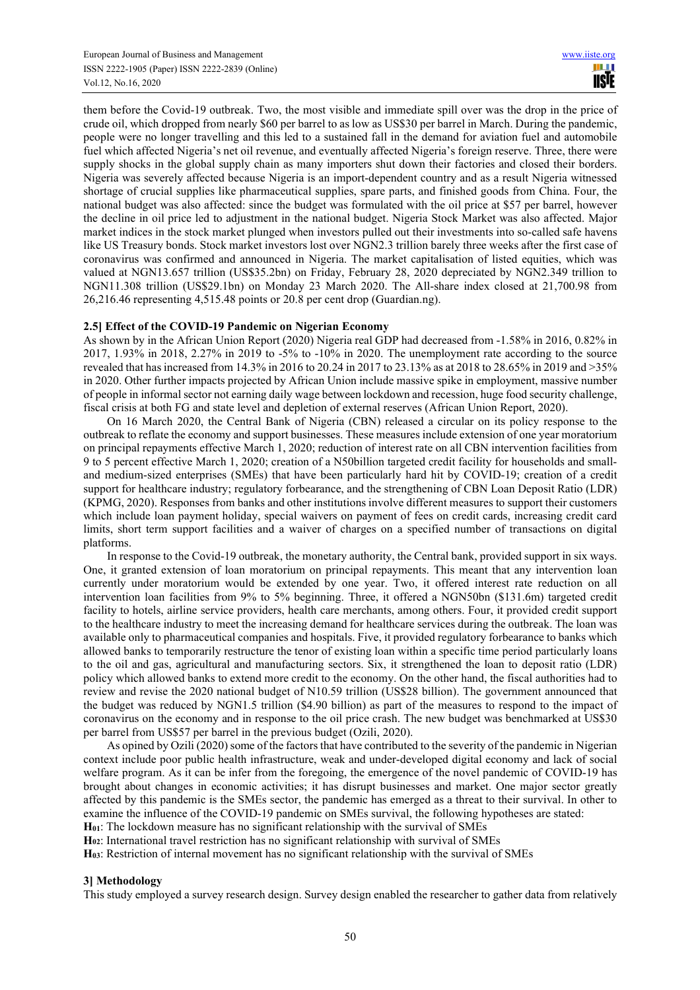them before the Covid-19 outbreak. Two, the most visible and immediate spill over was the drop in the price of crude oil, which dropped from nearly \$60 per barrel to as low as US\$30 per barrel in March. During the pandemic, people were no longer travelling and this led to a sustained fall in the demand for aviation fuel and automobile fuel which affected Nigeria's net oil revenue, and eventually affected Nigeria's foreign reserve. Three, there were supply shocks in the global supply chain as many importers shut down their factories and closed their borders. Nigeria was severely affected because Nigeria is an import-dependent country and as a result Nigeria witnessed shortage of crucial supplies like pharmaceutical supplies, spare parts, and finished goods from China. Four, the national budget was also affected: since the budget was formulated with the oil price at \$57 per barrel, however the decline in oil price led to adjustment in the national budget. Nigeria Stock Market was also affected. Major market indices in the stock market plunged when investors pulled out their investments into so-called safe havens like US Treasury bonds. Stock market investors lost over NGN2.3 trillion barely three weeks after the first case of coronavirus was confirmed and announced in Nigeria. The market capitalisation of listed equities, which was valued at NGN13.657 trillion (US\$35.2bn) on Friday, February 28, 2020 depreciated by NGN2.349 trillion to NGN11.308 trillion (US\$29.1bn) on Monday 23 March 2020. The All-share index closed at 21,700.98 from 26,216.46 representing 4,515.48 points or 20.8 per cent drop (Guardian.ng).

# **2.5] Effect of the COVID-19 Pandemic on Nigerian Economy**

As shown by in the African Union Report (2020) Nigeria real GDP had decreased from -1.58% in 2016, 0.82% in 2017, 1.93% in 2018, 2.27% in 2019 to -5% to -10% in 2020. The unemployment rate according to the source revealed that has increased from 14.3% in 2016 to 20.24 in 2017 to 23.13% as at 2018 to 28.65% in 2019 and >35% in 2020. Other further impacts projected by African Union include massive spike in employment, massive number of people in informal sector not earning daily wage between lockdown and recession, huge food security challenge, fiscal crisis at both FG and state level and depletion of external reserves (African Union Report, 2020).

On 16 March 2020, the Central Bank of Nigeria (CBN) released a circular on its policy response to the outbreak to reflate the economy and support businesses. These measures include extension of one year moratorium on principal repayments effective March 1, 2020; reduction of interest rate on all CBN intervention facilities from 9 to 5 percent effective March 1, 2020; creation of a N50billion targeted credit facility for households and smalland medium-sized enterprises (SMEs) that have been particularly hard hit by COVID-19; creation of a credit support for healthcare industry; regulatory forbearance, and the strengthening of CBN Loan Deposit Ratio (LDR) (KPMG, 2020). Responses from banks and other institutions involve different measures to support their customers which include loan payment holiday, special waivers on payment of fees on credit cards, increasing credit card limits, short term support facilities and a waiver of charges on a specified number of transactions on digital platforms.

In response to the Covid-19 outbreak, the monetary authority, the Central bank, provided support in six ways. One, it granted extension of loan moratorium on principal repayments. This meant that any intervention loan currently under moratorium would be extended by one year. Two, it offered interest rate reduction on all intervention loan facilities from 9% to 5% beginning. Three, it offered a NGN50bn (\$131.6m) targeted credit facility to hotels, airline service providers, health care merchants, among others. Four, it provided credit support to the healthcare industry to meet the increasing demand for healthcare services during the outbreak. The loan was available only to pharmaceutical companies and hospitals. Five, it provided regulatory forbearance to banks which allowed banks to temporarily restructure the tenor of existing loan within a specific time period particularly loans to the oil and gas, agricultural and manufacturing sectors. Six, it strengthened the loan to deposit ratio (LDR) policy which allowed banks to extend more credit to the economy. On the other hand, the fiscal authorities had to review and revise the 2020 national budget of N10.59 trillion (US\$28 billion). The government announced that the budget was reduced by NGN1.5 trillion (\$4.90 billion) as part of the measures to respond to the impact of coronavirus on the economy and in response to the oil price crash. The new budget was benchmarked at US\$30 per barrel from US\$57 per barrel in the previous budget (Ozili, 2020).

As opined by Ozili (2020) some of the factors that have contributed to the severity of the pandemic in Nigerian context include poor public health infrastructure, weak and under-developed digital economy and lack of social welfare program. As it can be infer from the foregoing, the emergence of the novel pandemic of COVID-19 has brought about changes in economic activities; it has disrupt businesses and market. One major sector greatly affected by this pandemic is the SMEs sector, the pandemic has emerged as a threat to their survival. In other to examine the influence of the COVID-19 pandemic on SMEs survival, the following hypotheses are stated:

**H01**: The lockdown measure has no significant relationship with the survival of SMEs

**H02**: International travel restriction has no significant relationship with survival of SMEs

**H03**: Restriction of internal movement has no significant relationship with the survival of SMEs

#### **3] Methodology**

This study employed a survey research design. Survey design enabled the researcher to gather data from relatively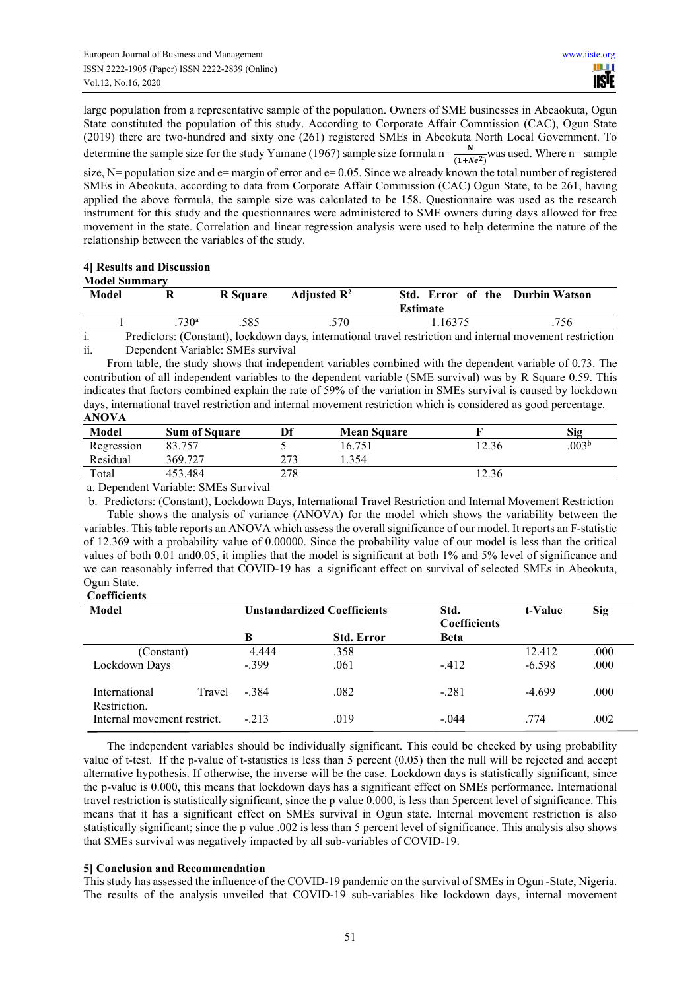large population from a representative sample of the population. Owners of SME businesses in Abeaokuta, Ogun State constituted the population of this study. According to Corporate Affair Commission (CAC), Ogun State (2019) there are two-hundred and sixty one (261) registered SMEs in Abeokuta North Local Government. To determine the sample size for the study Yamane (1967) sample size formula  $n = \frac{N}{(1 + Ne^2)}$  was used. Where  $n =$  sample

size, N= population size and  $e=$  margin of error and  $e=$  0.05. Since we already known the total number of registered SMEs in Abeokuta, according to data from Corporate Affair Commission (CAC) Ogun State, to be 261, having applied the above formula, the sample size was calculated to be 158. Questionnaire was used as the research instrument for this study and the questionnaires were administered to SME owners during days allowed for free movement in the state. Correlation and linear regression analysis were used to help determine the nature of the relationship between the variables of the study.

# **4] Results and Discussion**

| <b>Model Summary</b> |  |  |  |
|----------------------|--|--|--|

i. Predictors: (Constant), lockdown days, international travel restriction and internal movement restriction ii. Dependent Variable: SMEs survival

From table, the study shows that independent variables combined with the dependent variable of 0.73. The contribution of all independent variables to the dependent variable (SME survival) was by R Square 0.59. This indicates that factors combined explain the rate of 59% of the variation in SMEs survival is caused by lockdown days, international travel restriction and internal movement restriction which is considered as good percentage. **ANOVA** 

| <b>Model</b> | <b>Sum of Square</b> | Df  | <b>Mean Square</b> |       | Sig               |
|--------------|----------------------|-----|--------------------|-------|-------------------|
| Regression   | 83.757               |     | 16.751             | 12.36 | .003 <sup>b</sup> |
| Residual     | 369.727              | ารว | . 354              |       |                   |
| Total        | 453.484              | 278 |                    | 12.36 |                   |

a. Dependent Variable: SMEs Survival

b. Predictors: (Constant), Lockdown Days, International Travel Restriction and Internal Movement Restriction Table shows the analysis of variance (ANOVA) for the model which shows the variability between the variables. This table reports an ANOVA which assess the overall significance of our model. It reports an F-statistic of 12.369 with a probability value of 0.00000. Since the probability value of our model is less than the critical values of both 0.01 and0.05, it implies that the model is significant at both 1% and 5% level of significance and we can reasonably inferred that COVID-19 has a significant effect on survival of selected SMEs in Abeokuta, Ogun State.

#### **Coefficients Model Unstandardized Coefficients Std. Coefficients t**-**Value Sig B Std. Error Beta** (Constant) 4.444 .358 12.412 .000 Lockdown Days -.399 .061 -.412 -6.598 .000 International Travel Restriction. -.384 .082 -.281 -4.699 .000 Internal movement restrict.  $-0.213$  .019  $-0.044$  .774 .002

The independent variables should be individually significant. This could be checked by using probability value of t-test. If the p-value of t-statistics is less than 5 percent (0.05) then the null will be rejected and accept alternative hypothesis. If otherwise, the inverse will be the case. Lockdown days is statistically significant, since the p-value is 0.000, this means that lockdown days has a significant effect on SMEs performance. International travel restriction is statistically significant, since the p value 0.000, is less than 5percent level of significance. This means that it has a significant effect on SMEs survival in Ogun state. Internal movement restriction is also statistically significant; since the p value .002 is less than 5 percent level of significance. This analysis also shows that SMEs survival was negatively impacted by all sub-variables of COVID-19.

# **5] Conclusion and Recommendation**

This study has assessed the influence of the COVID-19 pandemic on the survival of SMEs in Ogun -State, Nigeria. The results of the analysis unveiled that COVID-19 sub-variables like lockdown days, internal movement